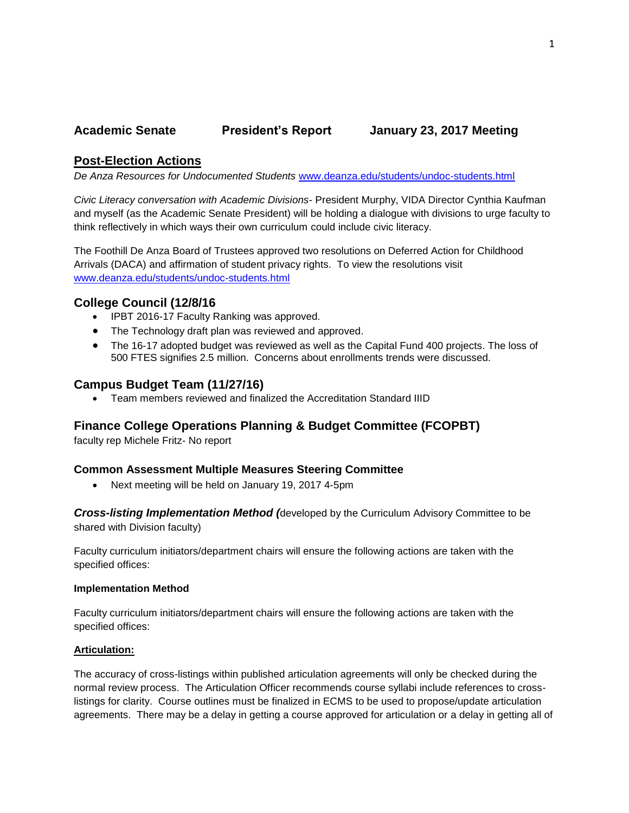## **Academic Senate President's Report January 23, 2017 Meeting**

## **Post-Election Actions**

*De Anza Resources for Undocumented Students* [www.deanza.edu/students/undoc-students.html](http://www.deanza.edu/students/undoc-students.html) 

*Civic Literacy conversation with Academic Divisions*- President Murphy, VIDA Director Cynthia Kaufman and myself (as the Academic Senate President) will be holding a dialogue with divisions to urge faculty to think reflectively in which ways their own curriculum could include civic literacy.

The Foothill De Anza Board of Trustees approved two resolutions on Deferred Action for Childhood Arrivals (DACA) and affirmation of student privacy rights. To view the resolutions visit [www.deanza.edu/students/undoc-students.html](http://www.deanza.edu/students/undoc-students.html) 

## **College Council (12/8/16**

- IPBT 2016-17 Faculty Ranking was approved.
- The Technology draft plan was reviewed and approved.
- The 16-17 adopted budget was reviewed as well as the Capital Fund 400 projects. The loss of 500 FTES signifies 2.5 million. Concerns about enrollments trends were discussed.

## **Campus Budget Team (11/27/16)**

Team members reviewed and finalized the Accreditation Standard IIID

# **Finance College Operations Planning & Budget Committee (FCOPBT)**

faculty rep Michele Fritz- No report

### **Common Assessment Multiple Measures Steering Committee**

Next meeting will be held on January 19, 2017 4-5pm

*Cross-listing Implementation Method (*developed by the Curriculum Advisory Committee to be shared with Division faculty)

Faculty curriculum initiators/department chairs will ensure the following actions are taken with the specified offices:

#### **Implementation Method**

Faculty curriculum initiators/department chairs will ensure the following actions are taken with the specified offices:

### **Articulation:**

The accuracy of cross-listings within published articulation agreements will only be checked during the normal review process. The Articulation Officer recommends course syllabi include references to crosslistings for clarity. Course outlines must be finalized in ECMS to be used to propose/update articulation agreements. There may be a delay in getting a course approved for articulation or a delay in getting all of